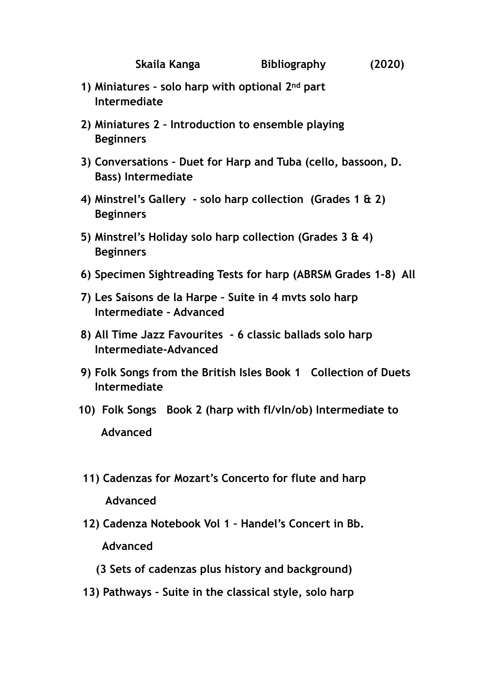- **1) Miniatures solo harp with optional 2nd part Intermediate**
- **2) Miniatures 2 Introduction to ensemble playing Beginners**
- **3) Conversations Duet for Harp and Tuba (cello, bassoon, D. Bass) Intermediate**
- **4) Minstrel's Gallery solo harp collection (Grades 1 & 2) Beginners**
- **5) Minstrel's Holiday solo harp collection (Grades 3 & 4) Beginners**
- **6) Specimen Sightreading Tests for harp (ABRSM Grades 1-8) All**
- **7) Les Saisons de la Harpe Suite in 4 mvts solo harp Intermediate – Advanced**
- **8) All Time Jazz Favourites 6 classic ballads solo harp Intermediate-Advanced**
- **9) Folk Songs from the British Isles Book 1 Collection of Duets Intermediate**
- **10) Folk Songs Book 2 (harp with fl/vln/ob) Intermediate to Advanced**
- **11) Cadenzas for Mozart's Concerto for flute and harp Advanced**
- **12) Cadenza Notebook Vol 1 Handel's Concert in Bb. Advanced** 
	- **(3 Sets of cadenzas plus history and background)**
- **13) Pathways Suite in the classical style, solo harp**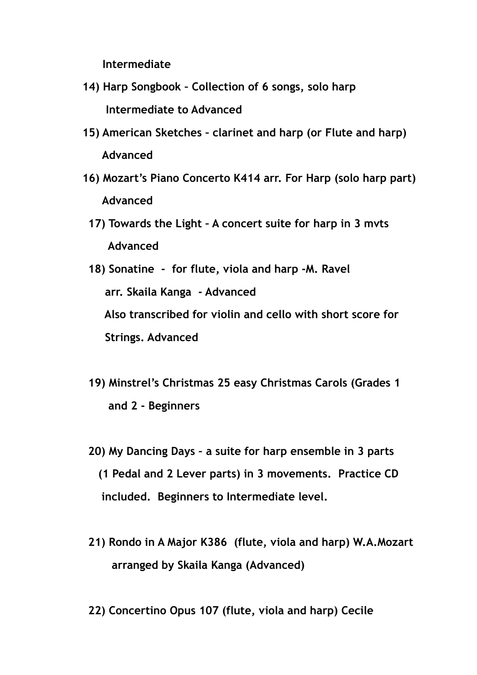**Intermediate** 

- **14) Harp Songbook Collection of 6 songs, solo harp Intermediate to Advanced**
- **15) American Sketches clarinet and harp (or Flute and harp) Advanced**
- **16) Mozart's Piano Concerto K414 arr. For Harp (solo harp part) Advanced** 
	- **17) Towards the Light A concert suite for harp in 3 mvts Advanced**
	- **18) Sonatine for flute, viola and harp -M. Ravel arr. Skaila Kanga - Advanced Also transcribed for violin and cello with short score for Strings. Advanced**
	- **19) Minstrel's Christmas 25 easy Christmas Carols (Grades 1 and 2 - Beginners**
	- **20) My Dancing Days a suite for harp ensemble in 3 parts (1 Pedal and 2 Lever parts) in 3 movements. Practice CD included. Beginners to Intermediate level.**
	- **21) Rondo in A Major K386 (flute, viola and harp) W.A.Mozart arranged by Skaila Kanga (Advanced)**
	- **22) Concertino Opus 107 (flute, viola and harp) Cecile**